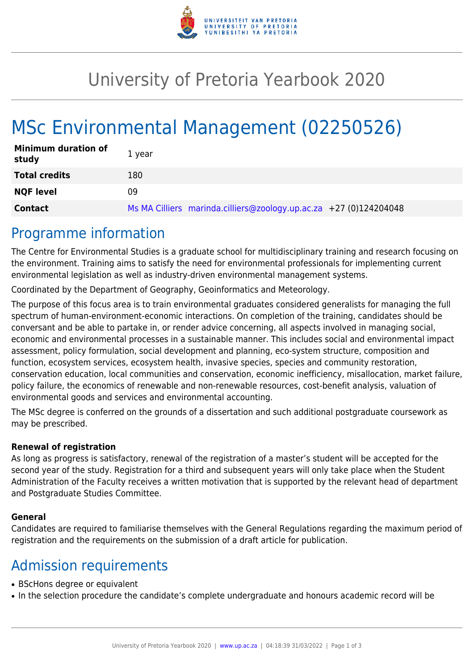

## University of Pretoria Yearbook 2020

# MSc Environmental Management (02250526)

| <b>Minimum duration of</b><br>study | 1 year                                                            |
|-------------------------------------|-------------------------------------------------------------------|
| <b>Total credits</b>                | 180                                                               |
| <b>NQF level</b>                    | 09                                                                |
| <b>Contact</b>                      | Ms MA Cilliers marinda.cilliers@zoology.up.ac.za +27 (0)124204048 |

### Programme information

The Centre for Environmental Studies is a graduate school for multidisciplinary training and research focusing on the environment. Training aims to satisfy the need for environmental professionals for implementing current environmental legislation as well as industry-driven environmental management systems.

Coordinated by the Department of Geography, Geoinformatics and Meteorology.

The purpose of this focus area is to train environmental graduates considered generalists for managing the full spectrum of human-environment-economic interactions. On completion of the training, candidates should be conversant and be able to partake in, or render advice concerning, all aspects involved in managing social, economic and environmental processes in a sustainable manner. This includes social and environmental impact assessment, policy formulation, social development and planning, eco-system structure, composition and function, ecosystem services, ecosystem health, invasive species, species and community restoration, conservation education, local communities and conservation, economic inefficiency, misallocation, market failure, policy failure, the economics of renewable and non-renewable resources, cost-benefit analysis, valuation of environmental goods and services and environmental accounting.

The MSc degree is conferred on the grounds of a dissertation and such additional postgraduate coursework as may be prescribed.

#### **Renewal of registration**

As long as progress is satisfactory, renewal of the registration of a master's student will be accepted for the second year of the study. Registration for a third and subsequent years will only take place when the Student Administration of the Faculty receives a written motivation that is supported by the relevant head of department and Postgraduate Studies Committee.

#### **General**

Candidates are required to familiarise themselves with the General Regulations regarding the maximum period of registration and the requirements on the submission of a draft article for publication.

### Admission requirements

- BScHons degree or equivalent
- In the selection procedure the candidate's complete undergraduate and honours academic record will be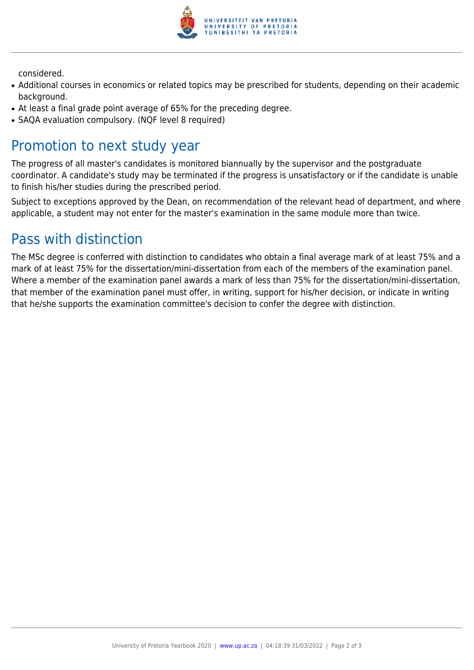

considered.

- Additional courses in economics or related topics may be prescribed for students, depending on their academic background.
- At least a final grade point average of 65% for the preceding degree.
- SAOA evaluation compulsory. (NOF level 8 required)

### Promotion to next study year

The progress of all master's candidates is monitored biannually by the supervisor and the postgraduate coordinator. A candidate's study may be terminated if the progress is unsatisfactory or if the candidate is unable to finish his/her studies during the prescribed period.

Subject to exceptions approved by the Dean, on recommendation of the relevant head of department, and where applicable, a student may not enter for the master's examination in the same module more than twice.

## Pass with distinction

The MSc degree is conferred with distinction to candidates who obtain a final average mark of at least 75% and a mark of at least 75% for the dissertation/mini-dissertation from each of the members of the examination panel. Where a member of the examination panel awards a mark of less than 75% for the dissertation/mini-dissertation, that member of the examination panel must offer, in writing, support for his/her decision, or indicate in writing that he/she supports the examination committee's decision to confer the degree with distinction.